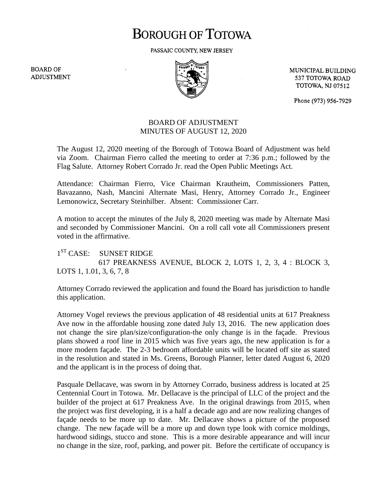## **BOROUGH OF TOTOWA**

PASSAIC COUNTY, NEW JERSEY

**BOARD OF ADJUSTMENT** 



MUNICIPAL BUILDING 537 TOTOWA ROAD **TOTOWA, NJ 07512** 

Phone (973) 956-7929

## BOARD OF ADJUSTMENT MINUTES OF AUGUST 12, 2020

The August 12, 2020 meeting of the Borough of Totowa Board of Adjustment was held via Zoom. Chairman Fierro called the meeting to order at 7:36 p.m.; followed by the Flag Salute. Attorney Robert Corrado Jr. read the Open Public Meetings Act.

Attendance: Chairman Fierro, Vice Chairman Krautheim, Commissioners Patten, Bavazanno, Nash, Mancini Alternate Masi, Henry, Attorney Corrado Jr., Engineer Lemonowicz, Secretary Steinhilber. Absent: Commissioner Carr.

A motion to accept the minutes of the July 8, 2020 meeting was made by Alternate Masi and seconded by Commissioner Mancini. On a roll call vote all Commissioners present voted in the affirmative.

 $1^{ST}$  CASE: SUNSET RIDGE 617 PREAKNESS AVENUE, BLOCK 2, LOTS 1, 2, 3, 4 : BLOCK 3, LOTS 1, 1.01, 3, 6, 7, 8

Attorney Corrado reviewed the application and found the Board has jurisdiction to handle this application.

Attorney Vogel reviews the previous application of 48 residential units at 617 Preakness Ave now in the affordable housing zone dated July 13, 2016. The new application does not change the sire plan/size/configuration-the only change is in the façade. Previous plans showed a roof line in 2015 which was five years ago, the new application is for a more modern façade. The 2-3 bedroom affordable units will be located off site as stated in the resolution and stated in Ms. Greens, Borough Planner, letter dated August 6, 2020 and the applicant is in the process of doing that.

Pasquale Dellacave, was sworn in by Attorney Corrado, business address is located at 25 Centennial Court in Totowa. Mr. Dellacave is the principal of LLC of the project and the builder of the project at 617 Preakness Ave. In the original drawings from 2015, when the project was first developing, it is a half a decade ago and are now realizing changes of façade needs to be more up to date. Mr. Dellacave shows a picture of the proposed change. The new façade will be a more up and down type look with cornice moldings, hardwood sidings, stucco and stone. This is a more desirable appearance and will incur no change in the size, roof, parking, and power pit. Before the certificate of occupancy is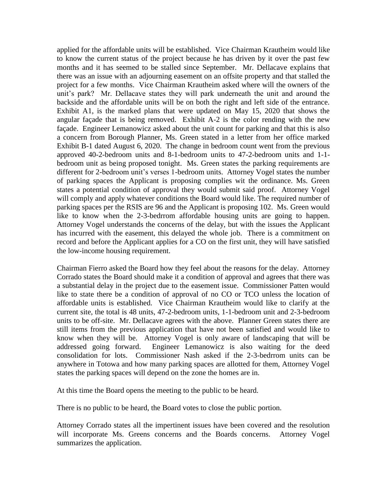applied for the affordable units will be established. Vice Chairman Krautheim would like to know the current status of the project because he has driven by it over the past few months and it has seemed to be stalled since September. Mr. Dellacave explains that there was an issue with an adjourning easement on an offsite property and that stalled the project for a few months. Vice Chairman Krautheim asked where will the owners of the unit's park? Mr. Dellacave states they will park underneath the unit and around the backside and the affordable units will be on both the right and left side of the entrance. Exhibit A1, is the marked plans that were updated on May 15, 2020 that shows the angular façade that is being removed. Exhibit A-2 is the color rending with the new façade. Engineer Lemanowicz asked about the unit count for parking and that this is also a concern from Borough Planner, Ms. Green stated in a letter from her office marked Exhibit B-1 dated August 6, 2020. The change in bedroom count went from the previous approved 40-2-bedroom units and 8-1-bedroom units to 47-2-bedroom units and 1-1 bedroom unit as being proposed tonight. Ms. Green states the parking requirements are different for 2-bedroom unit's verses 1-bedroom units. Attorney Vogel states the number of parking spaces the Applicant is proposing complies wit the ordinance. Ms. Green states a potential condition of approval they would submit said proof. Attorney Vogel will comply and apply whatever conditions the Board would like. The required number of parking spaces per the RSIS are 96 and the Applicant is proposing 102. Ms. Green would like to know when the 2-3-bedrrom affordable housing units are going to happen. Attorney Vogel understands the concerns of the delay, but with the issues the Applicant has incurred with the easement, this delayed the whole job. There is a commitment on record and before the Applicant applies for a CO on the first unit, they will have satisfied the low-income housing requirement.

Chairman Fierro asked the Board how they feel about the reasons for the delay. Attorney Corrado states the Board should make it a condition of approval and agrees that there was a substantial delay in the project due to the easement issue. Commissioner Patten would like to state there be a condition of approval of no CO or TCO unless the location of affordable units is established. Vice Chairman Krautheim would like to clarify at the current site, the total is 48 units, 47-2-bedroom units, 1-1-bedroom unit and 2-3-bedroom units to be off-site. Mr. Dellacave agrees with the above. Planner Green states there are still items from the previous application that have not been satisfied and would like to know when they will be. Attorney Vogel is only aware of landscaping that will be addressed going forward. Engineer Lemanowicz is also waiting for the deed consolidation for lots. Commissioner Nash asked if the 2-3-bedrrom units can be anywhere in Totowa and how many parking spaces are allotted for them, Attorney Vogel states the parking spaces will depend on the zone the homes are in.

At this time the Board opens the meeting to the public to be heard.

There is no public to be heard, the Board votes to close the public portion.

Attorney Corrado states all the impertinent issues have been covered and the resolution will incorporate Ms. Greens concerns and the Boards concerns. Attorney Vogel summarizes the application.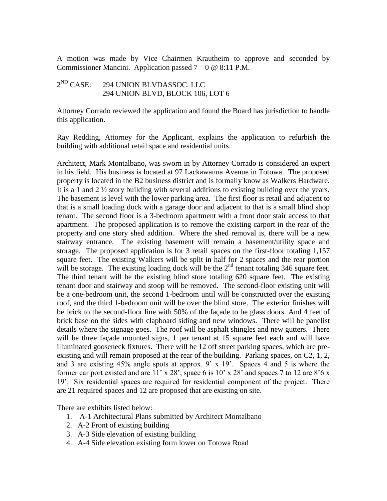A motion was made by Vice Chairmen Krautheim to approve and seconded by Commissioner Mancini. Application passed  $7 - 0 \& 8:11 \text{ P.M.}$ 

## $2^{ND}$  CASE: 294 UNION BLVDASSOC. LLC 294 UNION BLVD, BLOCK 106, LOT 6

Attorney Corrado reviewed the application and found the Board has jurisdiction to handle this application.

Ray Redding, Attorney for the Applicant, explains the application to refurbish the building with additional retail space and residential units.

Architect, Mark Montalbano, was sworn in by Attorney Corrado is considered an expert in his field. His business is located at 97 Lackawanna Avenue in Totowa. The proposed property is located in the B2 business district and is formally know as Walkers Hardware. It is a 1 and 2 ½ story building with several additions to existing building over the years. The basement is level with the lower parking area. The first floor is retail and adjacent to that is a small loading dock with a garage door and adjacent to that is a small blind shop tenant. The second floor is a 3-bedroom apartment with a front door stair access to that apartment. The proposed application is to remove the existing carport in the rear of the property and one story shed addition. Where the shed removal is, there will be a new stairway entrance. The existing basement will remain a basement/utility space and storage. The proposed application is for 3 retail spaces on the first-floor totaling 1,157 square feet. The existing Walkers will be split in half for 2 spaces and the rear portion will be storage. The existing loading dock will be the  $2<sup>nd</sup>$  tenant totaling 346 square feet. The third tenant will be the existing blind store totaling 620 square feet. The existing tenant door and stairway and stoop will be removed. The second-floor existing unit will be a one-bedroom unit, the second 1-bedroom until will be constructed over the existing roof, and the third 1-bedroom unit will be over the blind store. The exterior finishes will be brick to the second-floor line with 50% of the façade to be glass doors. And 4 feet of brick base on the sides with clapboard siding and new windows. There will be panelist details where the signage goes. The roof will be asphalt shingles and new gutters. There will be three façade mounted signs, 1 per tenant at 15 square feet each and will have illuminated gooseneck fixtures. There will be 12 off street parking spaces, which are preexisting and will remain proposed at the rear of the building. Parking spaces, on C2, 1, 2, and 3 are existing 45% angle spots at approx. 9' x 19'. Spaces 4 and 5 is where the former car port existed and are  $11' \times 28'$ , space 6 is  $10' \times 28'$  and spaces 7 to 12 are  $8'6 \times$ 19'. Six residential spaces are required for residential component of the project. There are 21 required spaces and 12 are proposed that are existing on site.

There are exhibits listed below:

- 1. A-1 Architectural Plans submitted by Architect Montalbano
- 2. A-2 Front of existing building
- 3. A-3 Side elevation of existing building
- 4. A-4 Side elevation existing form lower on Totowa Road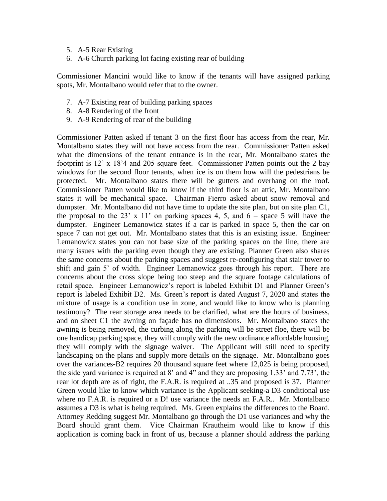- 5. A-5 Rear Existing
- 6. A-6 Church parking lot facing existing rear of building

Commissioner Mancini would like to know if the tenants will have assigned parking spots, Mr. Montalbano would refer that to the owner.

- 7. A-7 Existing rear of building parking spaces
- 8. A-8 Rendering of the front
- 9. A-9 Rendering of rear of the building

Commissioner Patten asked if tenant 3 on the first floor has access from the rear, Mr. Montalbano states they will not have access from the rear. Commissioner Patten asked what the dimensions of the tenant entrance is in the rear, Mr. Montalbano states the footprint is 12' x 18'4 and 205 square feet. Commissioner Patten points out the 2 bay windows for the second floor tenants, when ice is on them how will the pedestrians be protected. Mr. Montalbano states there will be gutters and overhang on the roof. Commissioner Patten would like to know if the third floor is an attic, Mr. Montalbano states it will be mechanical space. Chairman Fierro asked about snow removal and dumpster. Mr. Montalbano did not have time to update the site plan, but on site plan C1, the proposal to the 23' x 11' on parking spaces 4, 5, and  $6 -$  space 5 will have the dumpster. Engineer Lemanowicz states if a car is parked in space 5, then the car on space 7 can not get out. Mr. Montalbano states that this is an existing issue. Engineer Lemanowicz states you can not base size of the parking spaces on the line, there are many issues with the parking even though they are existing. Planner Green also shares the same concerns about the parking spaces and suggest re-configuring that stair tower to shift and gain 5' of width. Engineer Lemanowicz goes through his report. There are concerns about the cross slope being too steep and the square footage calculations of retail space. Engineer Lemanowicz's report is labeled Exhibit D1 and Planner Green's report is labeled Exhibit D2. Ms. Green's report is dated August 7, 2020 and states the mixture of usage is a condition use in zone, and would like to know who is planning testimony? The rear storage area needs to be clarified, what are the hours of business, and on sheet C1 the awning on façade has no dimensions. Mr. Montalbano states the awning is being removed, the curbing along the parking will be street floe, there will be one handicap parking space, they will comply with the new ordinance affordable housing, they will comply with the signage waiver. The Applicant will still need to specify landscaping on the plans and supply more details on the signage. Mr. Montalbano goes over the variances-B2 requires 20 thousand square feet where 12,025 is being proposed, the side yard variance is required at 8' and 4" and they are proposing 1.33' and 7.73', the rear lot depth are as of right, the F.A.R. is required at ..35 and proposed is 37. Planner Green would like to know which variance is the Applicant seeking-a D3 conditional use where no F.A.R. is required or a D! use variance the needs an F.A.R.. Mr. Montalbano assumes a D3 is what is being required. Ms. Green explains the differences to the Board. Attorney Redding suggest Mr. Montalbano go through the D1 use variances and why the Board should grant them. Vice Chairman Krautheim would like to know if this application is coming back in front of us, because a planner should address the parking